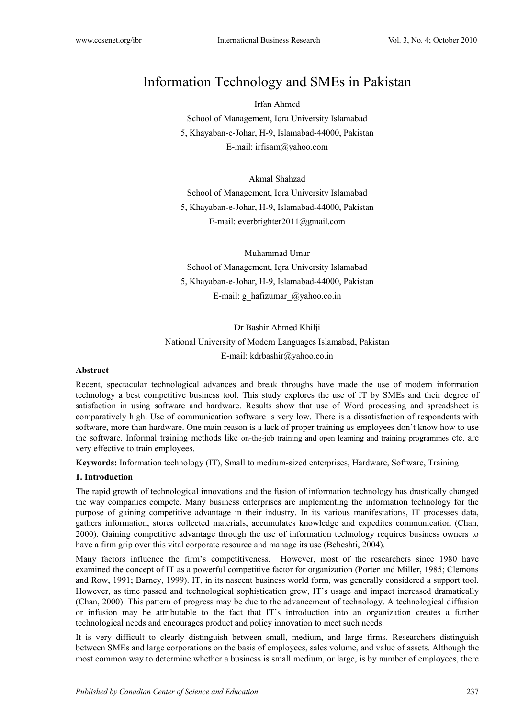# Information Technology and SMEs in Pakistan

Irfan Ahmed School of Management, Iqra University Islamabad 5, Khayaban-e-Johar, H-9, Islamabad-44000, Pakistan E-mail: irfisam@yahoo.com

Akmal Shahzad

School of Management, Iqra University Islamabad 5, Khayaban-e-Johar, H-9, Islamabad-44000, Pakistan E-mail: everbrighter2011@gmail.com

Muhammad Umar School of Management, Iqra University Islamabad 5, Khayaban-e-Johar, H-9, Islamabad-44000, Pakistan E-mail: g\_hafizumar\_@yahoo.co.in

Dr Bashir Ahmed Khilji National University of Modern Languages Islamabad, Pakistan E-mail: kdrbashir@yahoo.co.in

# **Abstract**

Recent, spectacular technological advances and break throughs have made the use of modern information technology a best competitive business tool. This study explores the use of IT by SMEs and their degree of satisfaction in using software and hardware. Results show that use of Word processing and spreadsheet is comparatively high. Use of communication software is very low. There is a dissatisfaction of respondents with software, more than hardware. One main reason is a lack of proper training as employees don't know how to use the software. Informal training methods like on-the-job training and open learning and training programmes etc. are very effective to train employees.

**Keywords:** Information technology (IT), Small to medium-sized enterprises, Hardware, Software, Training

#### **1. Introduction**

The rapid growth of technological innovations and the fusion of information technology has drastically changed the way companies compete. Many business enterprises are implementing the information technology for the purpose of gaining competitive advantage in their industry. In its various manifestations, IT processes data, gathers information, stores collected materials, accumulates knowledge and expedites communication (Chan, 2000). Gaining competitive advantage through the use of information technology requires business owners to have a firm grip over this vital corporate resource and manage its use (Beheshti, 2004).

Many factors influence the firm's competitiveness. However, most of the researchers since 1980 have examined the concept of IT as a powerful competitive factor for organization (Porter and Miller, 1985; Clemons and Row, 1991; Barney, 1999). IT, in its nascent business world form, was generally considered a support tool. However, as time passed and technological sophistication grew, IT's usage and impact increased dramatically (Chan, 2000). This pattern of progress may be due to the advancement of technology. A technological diffusion or infusion may be attributable to the fact that IT's introduction into an organization creates a further technological needs and encourages product and policy innovation to meet such needs.

It is very difficult to clearly distinguish between small, medium, and large firms. Researchers distinguish between SMEs and large corporations on the basis of employees, sales volume, and value of assets. Although the most common way to determine whether a business is small medium, or large, is by number of employees, there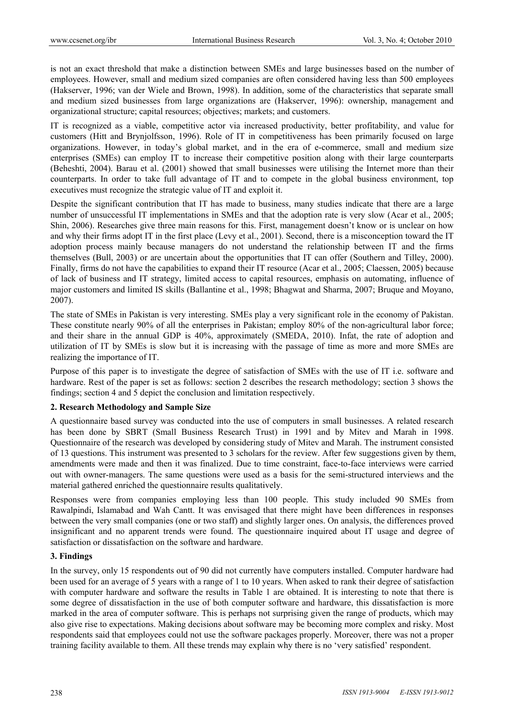is not an exact threshold that make a distinction between SMEs and large businesses based on the number of employees. However, small and medium sized companies are often considered having less than 500 employees (Hakserver, 1996; van der Wiele and Brown, 1998). In addition, some of the characteristics that separate small and medium sized businesses from large organizations are (Hakserver, 1996): ownership, management and organizational structure; capital resources; objectives; markets; and customers.

IT is recognized as a viable, competitive actor via increased productivity, better profitability, and value for customers (Hitt and Brynjolfsson, 1996). Role of IT in competitiveness has been primarily focused on large organizations. However, in today's global market, and in the era of e-commerce, small and medium size enterprises (SMEs) can employ IT to increase their competitive position along with their large counterparts (Beheshti, 2004). Barau et al. (2001) showed that small businesses were utilising the Internet more than their counterparts. In order to take full advantage of IT and to compete in the global business environment, top executives must recognize the strategic value of IT and exploit it.

Despite the significant contribution that IT has made to business, many studies indicate that there are a large number of unsuccessful IT implementations in SMEs and that the adoption rate is very slow (Acar et al., 2005; Shin, 2006). Researches give three main reasons for this. First, management doesn't know or is unclear on how and why their firms adopt IT in the first place (Levy et al., 2001). Second, there is a misconception toward the IT adoption process mainly because managers do not understand the relationship between IT and the firms themselves (Bull, 2003) or are uncertain about the opportunities that IT can offer (Southern and Tilley, 2000). Finally, firms do not have the capabilities to expand their IT resource (Acar et al., 2005; Claessen, 2005) because of lack of business and IT strategy, limited access to capital resources, emphasis on automating, influence of major customers and limited IS skills (Ballantine et al., 1998; Bhagwat and Sharma, 2007; Bruque and Moyano, 2007).

The state of SMEs in Pakistan is very interesting. SMEs play a very significant role in the economy of Pakistan. These constitute nearly 90% of all the enterprises in Pakistan; employ 80% of the non-agricultural labor force; and their share in the annual GDP is 40%, approximately (SMEDA, 2010). Infat, the rate of adoption and utilization of IT by SMEs is slow but it is increasing with the passage of time as more and more SMEs are realizing the importance of IT.

Purpose of this paper is to investigate the degree of satisfaction of SMEs with the use of IT i.e. software and hardware. Rest of the paper is set as follows: section 2 describes the research methodology; section 3 shows the findings; section 4 and 5 depict the conclusion and limitation respectively.

# **2. Research Methodology and Sample Size**

A questionnaire based survey was conducted into the use of computers in small businesses. A related research has been done by SBRT (Small Business Research Trust) in 1991 and by Mitev and Marah in 1998. Questionnaire of the research was developed by considering study of Mitev and Marah. The instrument consisted of 13 questions. This instrument was presented to 3 scholars for the review. After few suggestions given by them, amendments were made and then it was finalized. Due to time constraint, face-to-face interviews were carried out with owner-managers. The same questions were used as a basis for the semi-structured interviews and the material gathered enriched the questionnaire results qualitatively.

Responses were from companies employing less than 100 people. This study included 90 SMEs from Rawalpindi, Islamabad and Wah Cantt. It was envisaged that there might have been differences in responses between the very small companies (one or two staff) and slightly larger ones. On analysis, the differences proved insignificant and no apparent trends were found. The questionnaire inquired about IT usage and degree of satisfaction or dissatisfaction on the software and hardware.

# **3. Findings**

In the survey, only 15 respondents out of 90 did not currently have computers installed. Computer hardware had been used for an average of 5 years with a range of 1 to 10 years. When asked to rank their degree of satisfaction with computer hardware and software the results in Table 1 are obtained. It is interesting to note that there is some degree of dissatisfaction in the use of both computer software and hardware, this dissatisfaction is more marked in the area of computer software. This is perhaps not surprising given the range of products, which may also give rise to expectations. Making decisions about software may be becoming more complex and risky. Most respondents said that employees could not use the software packages properly. Moreover, there was not a proper training facility available to them. All these trends may explain why there is no 'very satisfied' respondent.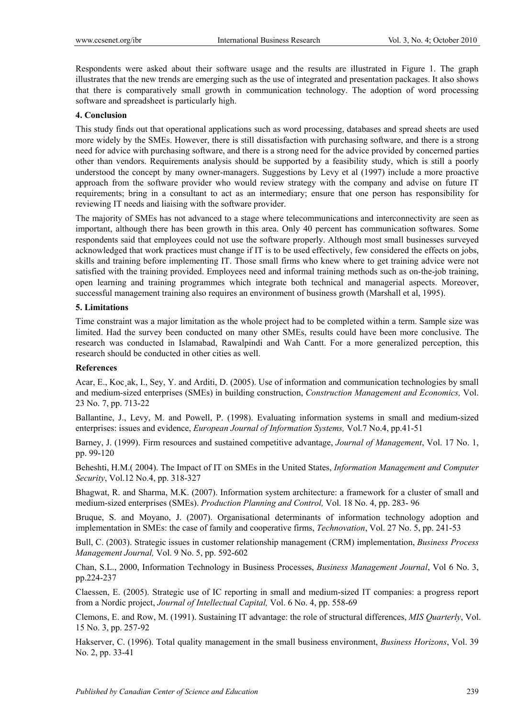Respondents were asked about their software usage and the results are illustrated in Figure 1. The graph illustrates that the new trends are emerging such as the use of integrated and presentation packages. It also shows that there is comparatively small growth in communication technology. The adoption of word processing software and spreadsheet is particularly high.

#### **4. Conclusion**

This study finds out that operational applications such as word processing, databases and spread sheets are used more widely by the SMEs. However, there is still dissatisfaction with purchasing software, and there is a strong need for advice with purchasing software, and there is a strong need for the advice provided by concerned parties other than vendors. Requirements analysis should be supported by a feasibility study, which is still a poorly understood the concept by many owner-managers. Suggestions by Levy et al (1997) include a more proactive approach from the software provider who would review strategy with the company and advise on future IT requirements; bring in a consultant to act as an intermediary; ensure that one person has responsibility for reviewing IT needs and liaising with the software provider.

The majority of SMEs has not advanced to a stage where telecommunications and interconnectivity are seen as important, although there has been growth in this area. Only 40 percent has communication softwares. Some respondents said that employees could not use the software properly. Although most small businesses surveyed acknowledged that work practices must change if IT is to be used effectively, few considered the effects on jobs, skills and training before implementing IT. Those small firms who knew where to get training advice were not satisfied with the training provided. Employees need and informal training methods such as on-the-job training, open learning and training programmes which integrate both technical and managerial aspects. Moreover, successful management training also requires an environment of business growth (Marshall et al, 1995).

### **5. Limitations**

Time constraint was a major limitation as the whole project had to be completed within a term. Sample size was limited. Had the survey been conducted on many other SMEs, results could have been more conclusive. The research was conducted in Islamabad, Rawalpindi and Wah Cantt. For a more generalized perception, this research should be conducted in other cities as well.

#### **References**

Acar, E., Koc¸ak, I., Sey, Y. and Arditi, D. (2005). Use of information and communication technologies by small and medium-sized enterprises (SMEs) in building construction, *Construction Management and Economics,* Vol. 23 No. 7, pp. 713-22

Ballantine, J., Levy, M. and Powell, P. (1998). Evaluating information systems in small and medium-sized enterprises: issues and evidence, *European Journal of Information Systems,* Vol.7 No.4, pp.41-51

Barney, J. (1999). Firm resources and sustained competitive advantage, *Journal of Management*, Vol. 17 No. 1, pp. 99-120

Beheshti, H.M.( 2004). The Impact of IT on SMEs in the United States, *Information Management and Computer Security*, Vol.12 No.4, pp. 318-327

Bhagwat, R. and Sharma, M.K. (2007). Information system architecture: a framework for a cluster of small and medium-sized enterprises (SMEs). *Production Planning and Control,* Vol. 18 No. 4, pp. 283- 96

Bruque, S. and Moyano, J. (2007). Organisational determinants of information technology adoption and implementation in SMEs: the case of family and cooperative firms, *Technovation*, Vol. 27 No. 5, pp. 241-53

Bull, C. (2003). Strategic issues in customer relationship management (CRM) implementation, *Business Process Management Journal,* Vol. 9 No. 5, pp. 592-602

Chan, S.L., 2000, Information Technology in Business Processes, *Business Management Journal*, Vol 6 No. 3, pp.224-237

Claessen, E. (2005). Strategic use of IC reporting in small and medium-sized IT companies: a progress report from a Nordic project, *Journal of Intellectual Capital,* Vol. 6 No. 4, pp. 558-69

Clemons, E. and Row, M. (1991). Sustaining IT advantage: the role of structural differences, *MIS Quarterly*, Vol. 15 No. 3, pp. 257-92

Hakserver, C. (1996). Total quality management in the small business environment, *Business Horizons*, Vol. 39 No. 2, pp. 33-41